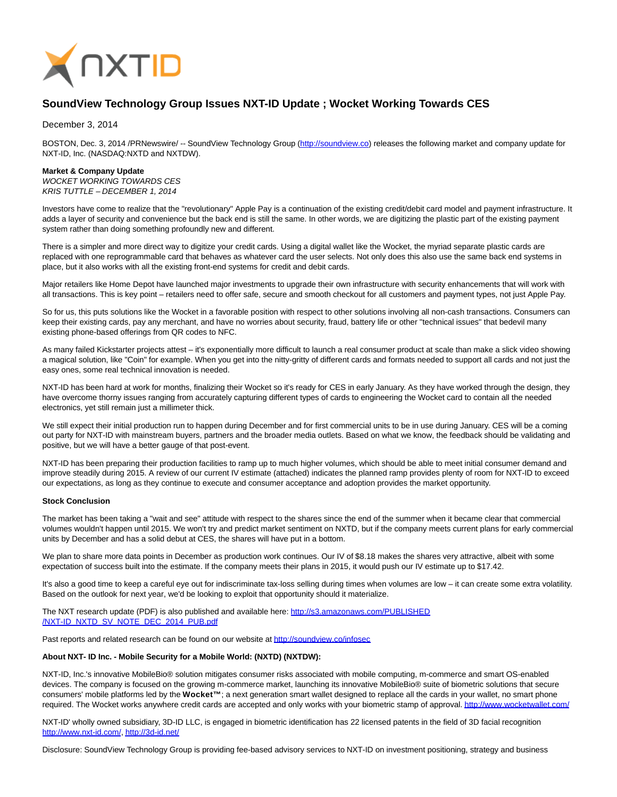

## **SoundView Technology Group Issues NXT-ID Update ; Wocket Working Towards CES**

December 3, 2014

BOSTON, Dec. 3, 2014 /PRNewswire/ -- SoundView Technology Group [\(http://soundview.co\)](http://soundview.co/) releases the following market and company update for NXT-ID, Inc. (NASDAQ:NXTD and NXTDW).

## **Market & Company Update**

WOCKET WORKING TOWARDS CES KRIS TUTTLE – DECEMBER 1, 2014

Investors have come to realize that the "revolutionary" Apple Pay is a continuation of the existing credit/debit card model and payment infrastructure. It adds a layer of security and convenience but the back end is still the same. In other words, we are digitizing the plastic part of the existing payment system rather than doing something profoundly new and different.

There is a simpler and more direct way to digitize your credit cards. Using a digital wallet like the Wocket, the myriad separate plastic cards are replaced with one reprogrammable card that behaves as whatever card the user selects. Not only does this also use the same back end systems in place, but it also works with all the existing front-end systems for credit and debit cards.

Major retailers like Home Depot have launched major investments to upgrade their own infrastructure with security enhancements that will work with all transactions. This is key point – retailers need to offer safe, secure and smooth checkout for all customers and payment types, not just Apple Pay.

So for us, this puts solutions like the Wocket in a favorable position with respect to other solutions involving all non-cash transactions. Consumers can keep their existing cards, pay any merchant, and have no worries about security, fraud, battery life or other "technical issues" that bedevil many existing phone-based offerings from QR codes to NFC.

As many failed Kickstarter projects attest – it's exponentially more difficult to launch a real consumer product at scale than make a slick video showing a magical solution, like "Coin" for example. When you get into the nitty-gritty of different cards and formats needed to support all cards and not just the easy ones, some real technical innovation is needed.

NXT-ID has been hard at work for months, finalizing their Wocket so it's ready for CES in early January. As they have worked through the design, they have overcome thorny issues ranging from accurately capturing different types of cards to engineering the Wocket card to contain all the needed electronics, yet still remain just a millimeter thick.

We still expect their initial production run to happen during December and for first commercial units to be in use during January. CES will be a coming out party for NXT-ID with mainstream buyers, partners and the broader media outlets. Based on what we know, the feedback should be validating and positive, but we will have a better gauge of that post-event.

NXT-ID has been preparing their production facilities to ramp up to much higher volumes, which should be able to meet initial consumer demand and improve steadily during 2015. A review of our current IV estimate (attached) indicates the planned ramp provides plenty of room for NXT-ID to exceed our expectations, as long as they continue to execute and consumer acceptance and adoption provides the market opportunity.

## **Stock Conclusion**

The market has been taking a "wait and see" attitude with respect to the shares since the end of the summer when it became clear that commercial volumes wouldn't happen until 2015. We won't try and predict market sentiment on NXTD, but if the company meets current plans for early commercial units by December and has a solid debut at CES, the shares will have put in a bottom.

We plan to share more data points in December as production work continues. Our IV of \$8.18 makes the shares very attractive, albeit with some expectation of success built into the estimate. If the company meets their plans in 2015, it would push our IV estimate up to \$17.42.

It's also a good time to keep a careful eye out for indiscriminate tax-loss selling during times when volumes are low – it can create some extra volatility. Based on the outlook for next year, we'd be looking to exploit that opportunity should it materialize.

The NXT research update (PDF) is also published and available here: [http://s3.amazonaws.com/PUBLISHED](http://s3.amazonaws.com/PUBLISHED/NXT-ID_NXTD_SV_NOTE_DEC_2014_PUB.pdf) /NXT-ID\_NXTD\_SV\_NOTE\_DEC\_2014\_PUB.pdf

Past reports and related research can be found on our website at<http://soundview.co/infosec>

## **About NXT- ID Inc. - Mobile Security for a Mobile World: (NXTD) (NXTDW):**

NXT-ID, Inc.'s innovative MobileBio® solution mitigates consumer risks associated with mobile computing, m-commerce and smart OS-enabled devices. The company is focused on the growing m-commerce market, launching its innovative MobileBio® suite of biometric solutions that secure consumers' mobile platforms led by the Wocket™; a next generation smart wallet designed to replace all the cards in your wallet, no smart phone required. The Wocket works anywhere credit cards are accepted and only works with your biometric stamp of approval[. http://www.wocketwallet.com/](http://www.wocketwallet.com/)

NXT-ID' wholly owned subsidiary, 3D-ID LLC, is engaged in biometric identification has 22 licensed patents in the field of 3D facial recognition [http://www.nxt-id.com/,](http://www.nxt-id.com/)<http://3d-id.net/>

Disclosure: SoundView Technology Group is providing fee-based advisory services to NXT-ID on investment positioning, strategy and business